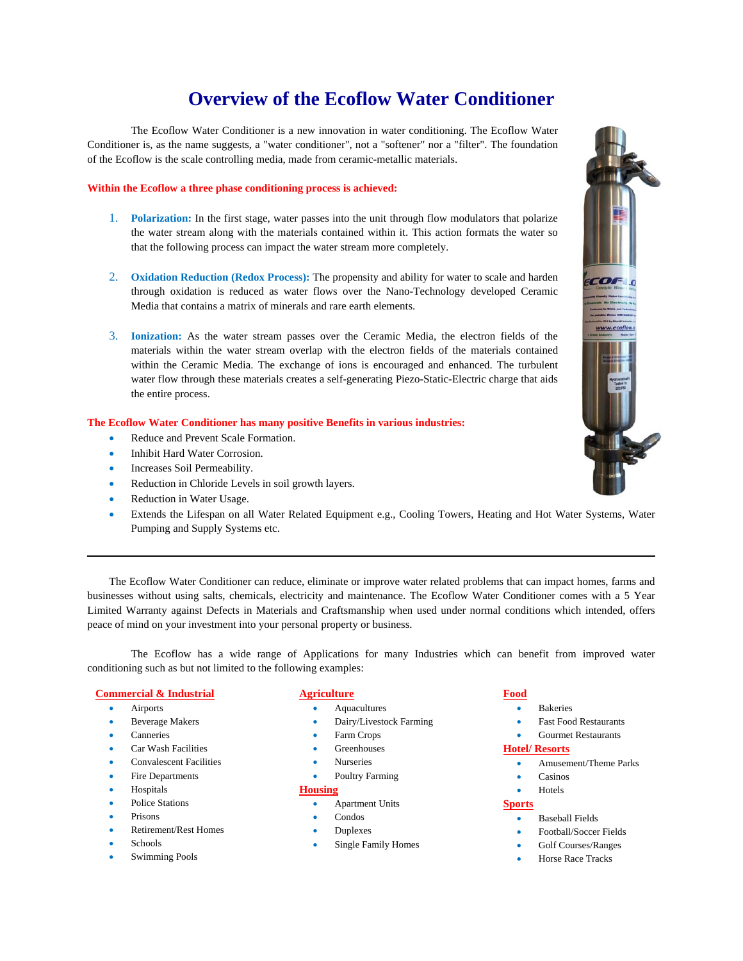# **Overview of the Ecoflow Water Conditioner**

The Ecoflow Water Conditioner is a new innovation in water conditioning. The Ecoflow Water Conditioner is, as the name suggests, a "water conditioner", not a "softener" nor a "filter". The foundation of the Ecoflow is the scale controlling media, made from ceramic-metallic materials.

# **Within the Ecoflow a three phase conditioning process is achieved:**

- 1. **Polarization:** In the first stage, water passes into the unit through flow modulators that polarize the water stream along with the materials contained within it. This action formats the water so that the following process can impact the water stream more completely.
- 2. **Oxidation Reduction (Redox Process):** The propensity and ability for water to scale and harden through oxidation is reduced as water flows over the Nano-Technology developed Ceramic Media that contains a matrix of minerals and rare earth elements.
- 3. **Ionization:** As the water stream passes over the Ceramic Media, the electron fields of the materials within the water stream overlap with the electron fields of the materials contained within the Ceramic Media. The exchange of ions is encouraged and enhanced. The turbulent water flow through these materials creates a self-generating Piezo-Static-Electric charge that aids the entire process.

# **The Ecoflow Water Conditioner has many positive Benefits in various industries:**

- Reduce and Prevent Scale Formation.
- Inhibit Hard Water Corrosion.
- Increases Soil Permeability.
- Reduction in Chloride Levels in soil growth layers.
- Reduction in Water Usage.
- Extends the Lifespan on all Water Related Equipment e.g., Cooling Towers, Heating and Hot Water Systems, Water Pumping and Supply Systems etc.

The Ecoflow Water Conditioner can reduce, eliminate or improve water related problems that can impact homes, farms and businesses without using salts, chemicals, electricity and maintenance. The Ecoflow Water Conditioner comes with a 5 Year Limited Warranty against Defects in Materials and Craftsmanship when used under normal conditions which intended, offers peace of mind on your investment into your personal property or business.

The Ecoflow has a wide range of Applications for many Industries which can benefit from improved water conditioning such as but not limited to the following examples:

# **Commercial & Industrial**

- **•** Airports
- Beverage Makers
- Canneries
- Car Wash Facilities
- Convalescent Facilities
- Fire Departments
- Hospitals
- Police Stations
- Prisons
- Retirement/Rest Homes
- Schools
- Swimming Pools

# **Agriculture**

- Aquacultures
- Dairy/Livestock Farming
- Farm Crops
- Greenhouses
- Nurseries
- Poultry Farming

# **Housing**

- Apartment Units
- Condos
- Duplexes
- Single Family Homes

# **Food**

- **•** Bakeries
- Fast Food Restaurants
- Gourmet Restaurants

#### **Hotel/ Resorts**

- Amusement/Theme Parks
- Casinos
- Hotels

#### **Sports**

- Baseball Fields
- Football/Soccer Fields
- Golf Courses/Ranges
- Horse Race Tracks